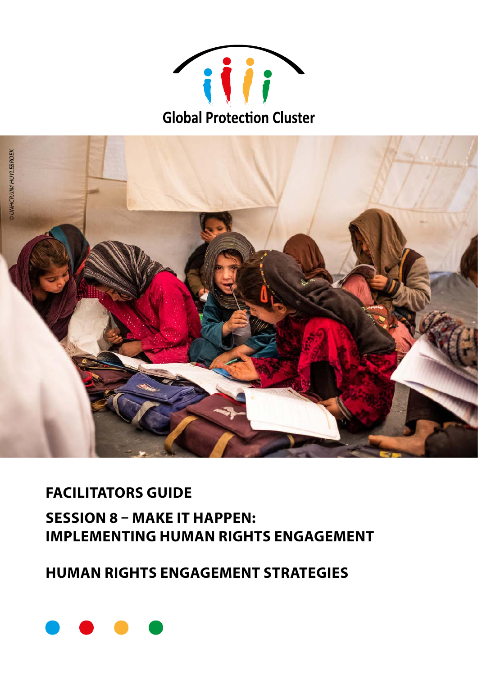



## **FACILITATORS GUIDE SESSION 8 - MAKE IT HAPPEN: IMPLEMENTING HUMAN RIGHTS ENGAGEMENT**

### **HUMAN RIGHTS ENGAGEMENT STRATEGIES**

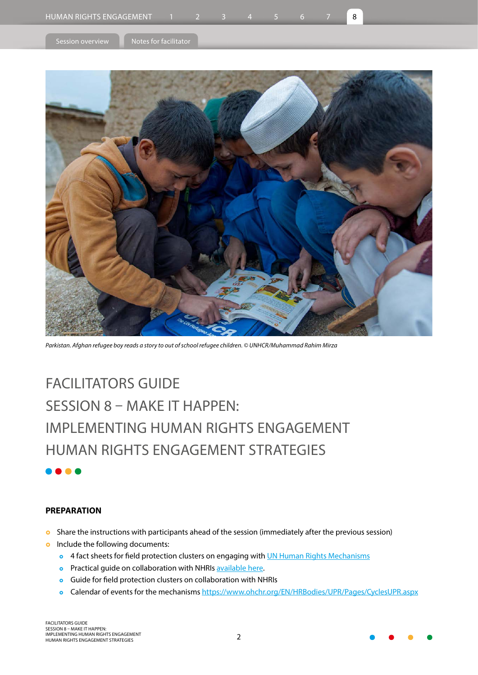<span id="page-1-0"></span>

Session overview  $\|\cdot\|$  [Notes for facilitator](#page-3-0)



*Parkistan. Afghan refugee boy reads a story to out of school refugee children. © UNHCR/Muhammad Rahim Mirza*

# FACILITATORS GUIDE SESSION 8 – MAKE IT HAPPEN: IMPLEMENTING HUMAN RIGHTS ENGAGEMENT HUMAN RIGHTS ENGAGEMENT STRATEGIES

### **PREPARATION**

- **o** Share the instructions with participants ahead of the session (immediately after the previous session)
- **o** Include the following documents:
	- **o** 4 fact sheets for field protection clusters on engaging with *[UN Human Rights Mechanisms](https://www.globalprotectioncluster.org/tools-and-guidance/essential-protection-guidance-and-tools/humanrights-
engagement-guidance-and-tools/
)*
	- **o** Practical guide on collaboration with NHRIs [available here.](https://www.globalprotectioncluster.org/wpcontent/
uploads/PCs-engagement-with-NHRIs_4.8.21-FINAL.pdf)
	- **•** Guide for field protection clusters on collaboration with NHRIs
	- o Calendar of events for the mechanisms <https://www.ohchr.org/EN/HRBodies/UPR/Pages/CyclesUPR.aspx>

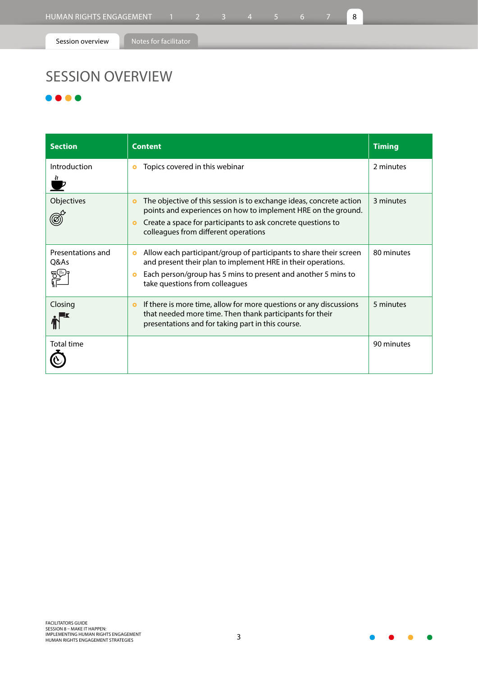[Session overview](#page-1-0) **Notes** for facilitator

# SESSION OVERVIEW

### $\bullet$   $\bullet$   $\bullet$

| <b>Section</b>                    | <b>Content</b>                                                                                                                                                                                                                                                         | <b>Timing</b> |
|-----------------------------------|------------------------------------------------------------------------------------------------------------------------------------------------------------------------------------------------------------------------------------------------------------------------|---------------|
| Introduction                      | Topics covered in this webinar<br>۰                                                                                                                                                                                                                                    | 2 minutes     |
| Objectives                        | The objective of this session is to exchange ideas, concrete action<br>$\bullet$<br>points and experiences on how to implement HRE on the ground.<br>Create a space for participants to ask concrete questions to<br>$\bullet$<br>colleagues from different operations | 3 minutes     |
| Presentations and<br>Q&As<br>ट्टि | Allow each participant/group of participants to share their screen<br>$\bullet$<br>and present their plan to implement HRE in their operations.<br>Each person/group has 5 mins to present and another 5 mins to<br>$\bullet$<br>take questions from colleagues        | 80 minutes    |
| Closing                           | If there is more time, allow for more questions or any discussions<br>$\bullet$<br>that needed more time. Then thank participants for their<br>presentations and for taking part in this course.                                                                       | 5 minutes     |
| <b>Total time</b>                 |                                                                                                                                                                                                                                                                        | 90 minutes    |

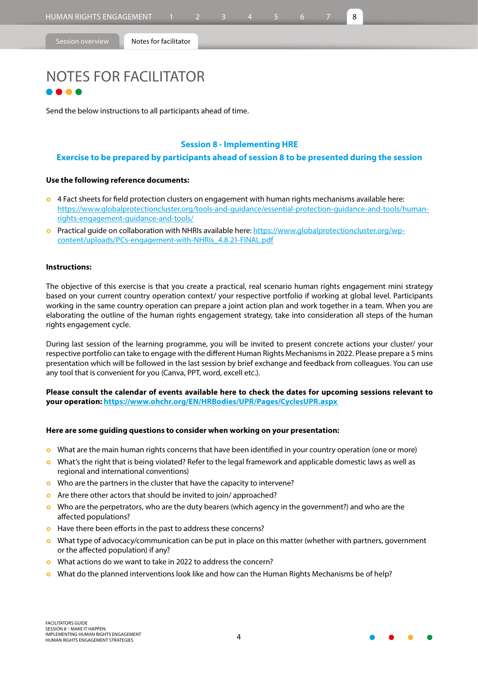<span id="page-3-0"></span>

[Session overview](#page-1-0) **Notes for facilitator** 

# NOTES FOR FACILITATOR

Send the below instructions to all participants ahead of time.

### **Session 8 - Implementing HRE**

### **Exercise to be prepared by participants ahead of session 8 to be presented during the session**

### **Use the following reference documents:**

- **o** 4 Fact sheets for field protection clusters on engagement with human rights mechanisms available here: [https://www.globalprotectioncluster.org/tools-and-guidance/essential-protection-guidance-and-tools/human](https://www.globalprotectioncluster.org/tools-and-guidance/essential-protection-guidance-and-tools/human-rights-engagement-guidance-and-tools/ )[rights-engagement-guidance-and-tools/](https://www.globalprotectioncluster.org/tools-and-guidance/essential-protection-guidance-and-tools/human-rights-engagement-guidance-and-tools/ )
- **o** Practical guide on collaboration with NHRIs available here: [https://www.globalprotectioncluster.org/wp](https://www.globalprotectioncluster.org/wp-content/uploads/PCs-engagement-with-NHRIs_4.8.21-FINAL.pdf)[content/uploads/PCs-engagement-with-NHRIs\\_4.8.21-FINAL.pdf](https://www.globalprotectioncluster.org/wp-content/uploads/PCs-engagement-with-NHRIs_4.8.21-FINAL.pdf)

### **Instructions:**

The objective of this exercise is that you create a practical, real scenario human rights engagement mini strategy based on your current country operation context/ your respective portfolio if working at global level. Participants working in the same country operation can prepare a joint action plan and work together in a team. When you are elaborating the outline of the human rights engagement strategy, take into consideration all steps of the human rights engagement cycle.

During last session of the learning programme, you will be invited to present concrete actions your cluster/ your respective portfolio can take to engage with the different Human Rights Mechanisms in 2022. Please prepare a 5 mins presentation which will be followed in the last session by brief exchange and feedback from colleagues. You can use any tool that is convenient for you (Canva, PPT, word, excell etc.).

**Please consult the calendar of events available here to check the dates for upcoming sessions relevant to your operation: [https://www.ohchr.org/EN/HRBodies/UPR/Pages/CyclesUPR.aspx](https://www.ohchr.org/EN/HRBodies/UPR/Pages/CyclesUPR.aspx )** 

#### **Here are some guiding questions to consider when working on your presentation:**

- **•** What are the main human rights concerns that have been identified in your country operation (one or more)
- **o** What's the right that is being violated? Refer to the legal framework and applicable domestic laws as well as regional and international conventions)
- **•** Who are the partners in the cluster that have the capacity to intervene?
- **o** Are there other actors that should be invited to join/ approached?
- **•** Who are the perpetrators, who are the duty bearers (which agency in the government?) and who are the affected populations?
- **o** Have there been efforts in the past to address these concerns?
- **•** What type of advocacy/communication can be put in place on this matter (whether with partners, government or the affected population) if any?
- **o** What actions do we want to take in 2022 to address the concern?
- **o** What do the planned interventions look like and how can the Human Rights Mechanisms be of help?